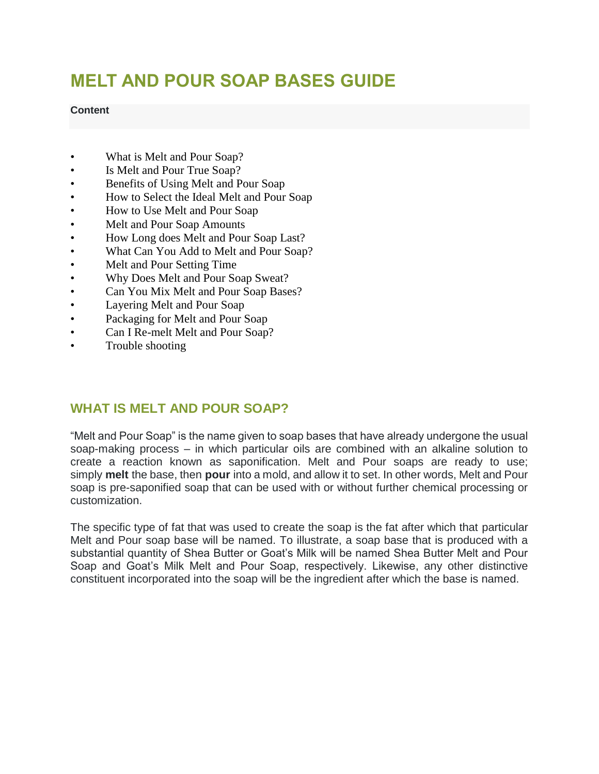# **MELT AND POUR SOAP BASES GUIDE**

#### **Content**

- What is Melt and Pour Soap?
- Is Melt and Pour True Soap?
- Benefits of Using Melt and Pour Soap
- How to Select the Ideal Melt and Pour Soap
- How to Use Melt and Pour Soap
- Melt and Pour Soap Amounts
- How Long does Melt and Pour Soap Last?
- What Can You Add to Melt and Pour Soap?
- Melt and Pour Setting Time
- Why Does Melt and Pour Soap Sweat?
- Can You Mix Melt and Pour Soap Bases?
- Layering Melt and Pour Soap
- Packaging for Melt and Pour Soap
- Can I Re-melt Melt and Pour Soap?
- Trouble shooting

# **WHAT IS MELT AND POUR SOAP?**

"Melt and Pour Soap" is the name given to soap bases that have already undergone the usual soap-making process – in which particular oils are combined with an alkaline solution to create a reaction known as saponification. Melt and Pour soaps are ready to use; simply **melt** the base, then **pour** into a mold, and allow it to set. In other words, Melt and Pour soap is pre-saponified soap that can be used with or without further chemical processing or customization.

The specific type of fat that was used to create the soap is the fat after which that particular Melt and Pour soap base will be named. To illustrate, a soap base that is produced with a substantial quantity of Shea Butter or Goat's Milk will be named Shea Butter Melt and Pour Soap and Goat's Milk Melt and Pour Soap, respectively. Likewise, any other distinctive constituent incorporated into the soap will be the ingredient after which the base is named.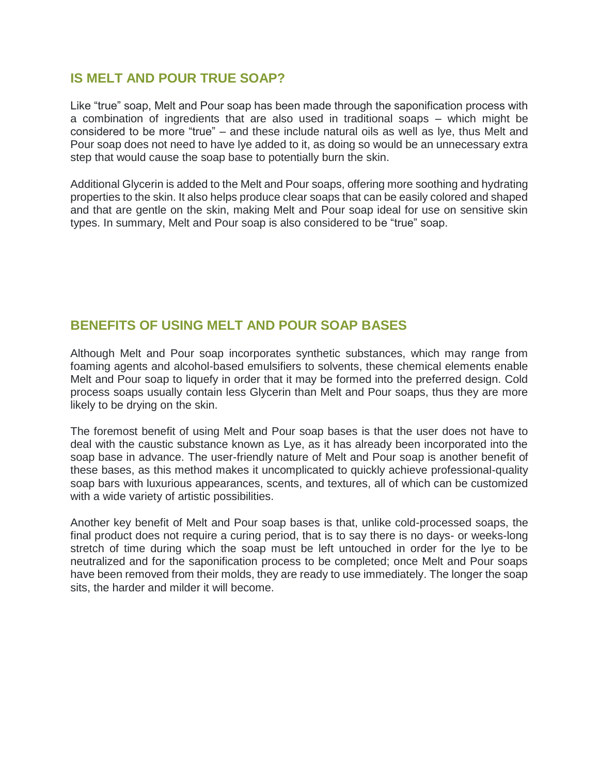### **IS MELT AND POUR TRUE SOAP?**

Like "true" soap, Melt and Pour soap has been made through the saponification process with a combination of ingredients that are also used in traditional soaps – which might be considered to be more "true" – and these include natural oils as well as lye, thus Melt and Pour soap does not need to have lye added to it, as doing so would be an unnecessary extra step that would cause the soap base to potentially burn the skin.

Additional Glycerin is added to the Melt and Pour soaps, offering more soothing and hydrating properties to the skin. It also helps produce clear soaps that can be easily colored and shaped and that are gentle on the skin, making Melt and Pour soap ideal for use on sensitive skin types. In summary, Melt and Pour soap is also considered to be "true" soap.

### **BENEFITS OF USING MELT AND POUR SOAP BASES**

Although Melt and Pour soap incorporates synthetic substances, which may range from foaming agents and alcohol-based emulsifiers to solvents, these chemical elements enable Melt and Pour soap to liquefy in order that it may be formed into the preferred design. Cold process soaps usually contain less Glycerin than Melt and Pour soaps, thus they are more likely to be drying on the skin.

The foremost benefit of using Melt and Pour soap bases is that the user does not have to deal with the caustic substance known as Lye, as it has already been incorporated into the soap base in advance. The user-friendly nature of Melt and Pour soap is another benefit of these bases, as this method makes it uncomplicated to quickly achieve professional-quality soap bars with luxurious appearances, scents, and textures, all of which can be customized with a wide variety of artistic possibilities.

Another key benefit of Melt and Pour soap bases is that, unlike cold-processed soaps, the final product does not require a curing period, that is to say there is no days- or weeks-long stretch of time during which the soap must be left untouched in order for the lye to be neutralized and for the saponification process to be completed; once Melt and Pour soaps have been removed from their molds, they are ready to use immediately. The longer the soap sits, the harder and milder it will become.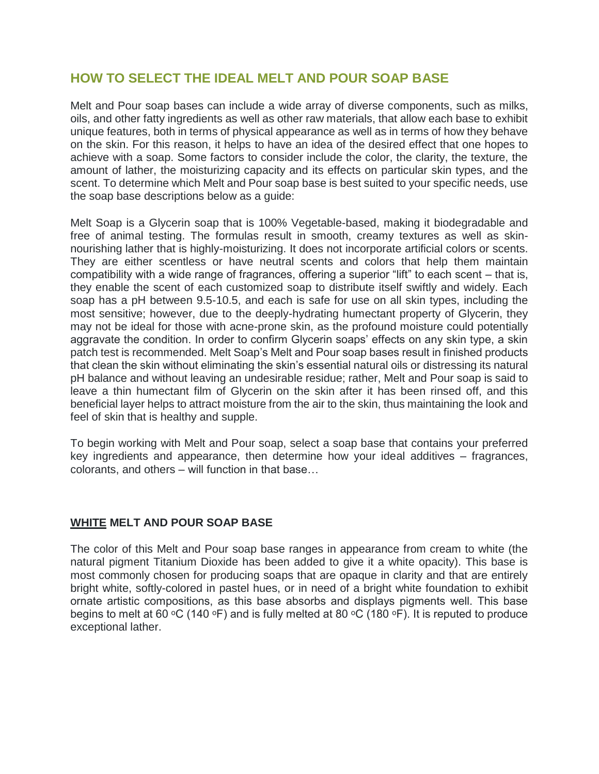# **HOW TO SELECT THE IDEAL MELT AND POUR SOAP BASE**

Melt and Pour soap bases can include a wide array of diverse components, such as milks, oils, and other fatty ingredients as well as other raw materials, that allow each base to exhibit unique features, both in terms of physical appearance as well as in terms of how they behave on the skin. For this reason, it helps to have an idea of the desired effect that one hopes to achieve with a soap. Some factors to consider include the color, the clarity, the texture, the amount of lather, the moisturizing capacity and its effects on particular skin types, and the scent. To determine which Melt and Pour soap base is best suited to your specific needs, use the soap base descriptions below as a guide:

Melt Soap is a Glycerin soap that is 100% Vegetable-based, making it biodegradable and free of animal testing. The formulas result in smooth, creamy textures as well as skinnourishing lather that is highly-moisturizing. It does not incorporate artificial colors or scents. They are either scentless or have neutral scents and colors that help them maintain compatibility with a wide range of fragrances, offering a superior "lift" to each scent – that is, they enable the scent of each customized soap to distribute itself swiftly and widely. Each soap has a pH between 9.5-10.5, and each is safe for use on all skin types, including the most sensitive; however, due to the deeply-hydrating humectant property of Glycerin, they may not be ideal for those with acne-prone skin, as the profound moisture could potentially aggravate the condition. In order to confirm Glycerin soaps' effects on any skin type, a skin patch test is recommended. Melt Soap's Melt and Pour soap bases result in finished products that clean the skin without eliminating the skin's essential natural oils or distressing its natural pH balance and without leaving an undesirable residue; rather, Melt and Pour soap is said to leave a thin humectant film of Glycerin on the skin after it has been rinsed off, and this beneficial layer helps to attract moisture from the air to the skin, thus maintaining the look and feel of skin that is healthy and supple.

To begin working with Melt and Pour soap, select a soap base that contains your preferred key ingredients and appearance, then determine how your ideal additives – fragrances, colorants, and others – will function in that base…

#### **WHITE MELT AND POUR SOAP BASE**

The color of this Melt and Pour soap base ranges in appearance from cream to white (the natural pigment Titanium Dioxide has been added to give it a white opacity). This base is most commonly chosen for producing soaps that are opaque in clarity and that are entirely bright white, softly-colored in pastel hues, or in need of a bright white foundation to exhibit ornate artistic compositions, as this base absorbs and displays pigments well. This base begins to melt at 60 °C (140 °F) and is fully melted at 80 °C (180 °F). It is reputed to produce exceptional lather.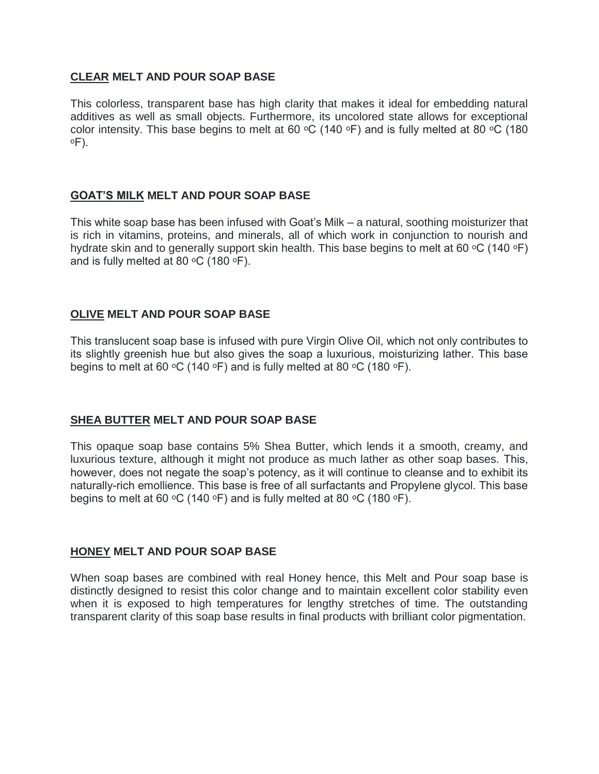#### **CLEAR MELT AND POUR SOAP BASE**

This colorless, transparent base has high clarity that makes it ideal for embedding natural additives as well as small objects. Furthermore, its uncolored state allows for exceptional color intensity. This base begins to melt at 60  $\mathrm{^{\circ}C}$  (140  $\mathrm{^{\circ}F}$ ) and is fully melted at 80  $\mathrm{^{\circ}C}$  (180 ᵒF).

#### **GOAT'S MILK MELT AND POUR SOAP BASE**

This white soap base has been infused with Goat's Milk – a natural, soothing moisturizer that is rich in vitamins, proteins, and minerals, all of which work in conjunction to nourish and hydrate skin and to generally support skin health. This base begins to melt at 60 °C (140 °F) and is fully melted at 80  $\mathrm{^{\circ}C}$  (180  $\mathrm{^{\circ}F}$ ).

#### **OLIVE MELT AND POUR SOAP BASE**

This translucent soap base is infused with pure Virgin Olive Oil, which not only contributes to its slightly greenish hue but also gives the soap a luxurious, moisturizing lather. This base begins to melt at 60  $\circ$ C (140  $\circ$ F) and is fully melted at 80  $\circ$ C (180  $\circ$ F).

#### **SHEA BUTTER MELT AND POUR SOAP BASE**

This opaque soap base contains 5% Shea Butter, which lends it a smooth, creamy, and luxurious texture, although it might not produce as much lather as other soap bases. This, however, does not negate the soap's potency, as it will continue to cleanse and to exhibit its naturally-rich emollience. This base is free of all surfactants and Propylene glycol. This base begins to melt at 60 °C (140 °F) and is fully melted at 80 °C (180 °F).

#### **HONEY MELT AND POUR SOAP BASE**

When soap bases are combined with real Honey hence, this Melt and Pour soap base is distinctly designed to resist this color change and to maintain excellent color stability even when it is exposed to high temperatures for lengthy stretches of time. The outstanding transparent clarity of this soap base results in final products with brilliant color pigmentation.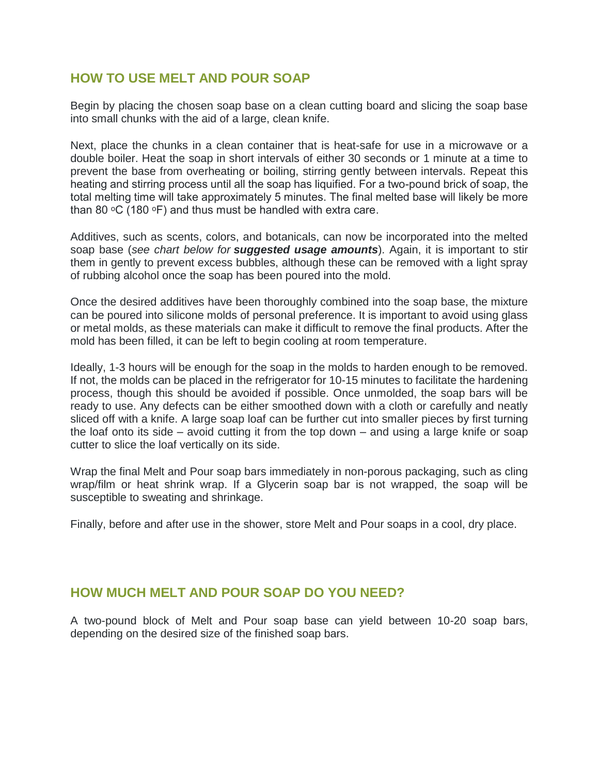### **HOW TO USE MELT AND POUR SOAP**

Begin by placing the chosen soap base on a clean cutting board and slicing the soap base into small chunks with the aid of a large, clean knife.

Next, place the chunks in a clean container that is heat-safe for use in a microwave or a double boiler. Heat the soap in short intervals of either 30 seconds or 1 minute at a time to prevent the base from overheating or boiling, stirring gently between intervals. Repeat this heating and stirring process until all the soap has liquified. For a two-pound brick of soap, the total melting time will take approximately 5 minutes. The final melted base will likely be more than 80  $\mathrm{^{\circ}C}$  (180  $\mathrm{^{\circ}F}$ ) and thus must be handled with extra care.

Additives, such as scents, colors, and botanicals, can now be incorporated into the melted soap base (*see chart below for suggested usage amounts*). Again, it is important to stir them in gently to prevent excess bubbles, although these can be removed with a light spray of rubbing alcohol once the soap has been poured into the mold.

Once the desired additives have been thoroughly combined into the soap base, the mixture can be poured into silicone molds of personal preference. It is important to avoid using glass or metal molds, as these materials can make it difficult to remove the final products. After the mold has been filled, it can be left to begin cooling at room temperature.

Ideally, 1-3 hours will be enough for the soap in the molds to harden enough to be removed. If not, the molds can be placed in the refrigerator for 10-15 minutes to facilitate the hardening process, though this should be avoided if possible. Once unmolded, the soap bars will be ready to use. Any defects can be either smoothed down with a cloth or carefully and neatly sliced off with a knife. A large soap loaf can be further cut into smaller pieces by first turning the loaf onto its side – avoid cutting it from the top down – and using a large knife or soap cutter to slice the loaf vertically on its side.

Wrap the final Melt and Pour soap bars immediately in non-porous packaging, such as cling wrap/film or heat shrink wrap. If a Glycerin soap bar is not wrapped, the soap will be susceptible to sweating and shrinkage.

Finally, before and after use in the shower, store Melt and Pour soaps in a cool, dry place.

# **HOW MUCH MELT AND POUR SOAP DO YOU NEED?**

A two-pound block of Melt and Pour soap base can yield between 10-20 soap bars, depending on the desired size of the finished soap bars.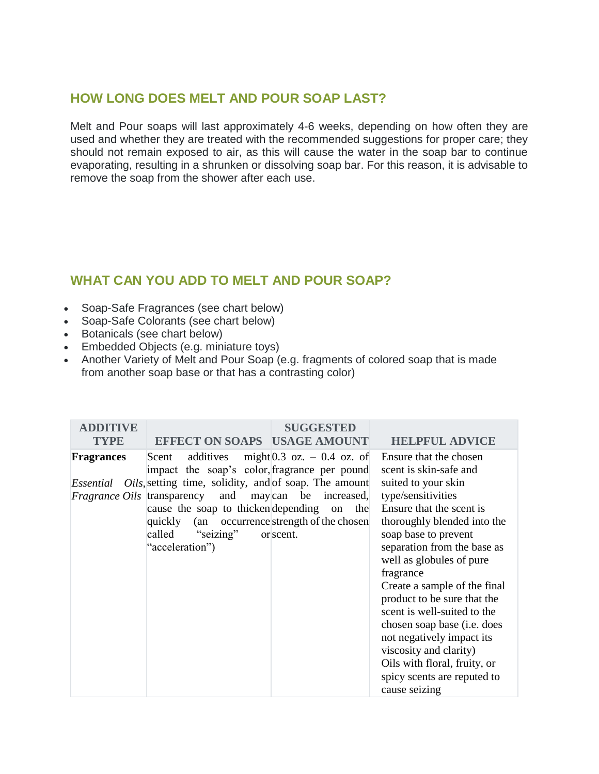# **HOW LONG DOES MELT AND POUR SOAP LAST?**

Melt and Pour soaps will last approximately 4-6 weeks, depending on how often they are used and whether they are treated with the recommended suggestions for proper care; they should not remain exposed to air, as this will cause the water in the soap bar to continue evaporating, resulting in a shrunken or dissolving soap bar. For this reason, it is advisable to remove the soap from the shower after each use.

# **WHAT CAN YOU ADD TO MELT AND POUR SOAP?**

- Soap-Safe Fragrances (see chart below)
- Soap-Safe Colorants (see chart below)
- Botanicals (see chart below)
- Embedded Objects (e.g. miniature toys)
- Another Variety of Melt and Pour Soap (e.g. fragments of colored soap that is made from another soap base or that has a contrasting color)

| <b>ADDITIVE</b>   |                                                                                                                                                                                                                                                                                                                                    | <b>SUGGESTED</b>                                            |                                                                                                                                                                                                                                                                                                                                                                                                                                                                                                                                      |
|-------------------|------------------------------------------------------------------------------------------------------------------------------------------------------------------------------------------------------------------------------------------------------------------------------------------------------------------------------------|-------------------------------------------------------------|--------------------------------------------------------------------------------------------------------------------------------------------------------------------------------------------------------------------------------------------------------------------------------------------------------------------------------------------------------------------------------------------------------------------------------------------------------------------------------------------------------------------------------------|
| <b>TYPE</b>       | <b>EFFECT ON SOAPS USAGE AMOUNT</b>                                                                                                                                                                                                                                                                                                |                                                             | <b>HELPFUL ADVICE</b>                                                                                                                                                                                                                                                                                                                                                                                                                                                                                                                |
| <b>Fragrances</b> | Scent<br>impact the soap's color, fragrance per pound<br><i>Essential Oils</i> , setting time, solidity, and of soap. The amount<br><i>Fragrance Oils</i> transparency and may can be increased,<br>cause the soap to thicken depending on<br>quickly (an occurrence strength of the chosen<br>called "seizing"<br>"acceleration") | additives might $0.3$ oz. $-0.4$ oz. of<br>the<br>or scent. | Ensure that the chosen<br>scent is skin-safe and<br>suited to your skin<br>type/sensitivities<br>Ensure that the scent is<br>thoroughly blended into the<br>soap base to prevent<br>separation from the base as<br>well as globules of pure<br>fragrance<br>Create a sample of the final<br>product to be sure that the<br>scent is well-suited to the<br>chosen soap base ( <i>i.e.</i> does<br>not negatively impact its<br>viscosity and clarity)<br>Oils with floral, fruity, or<br>spicy scents are reputed to<br>cause seizing |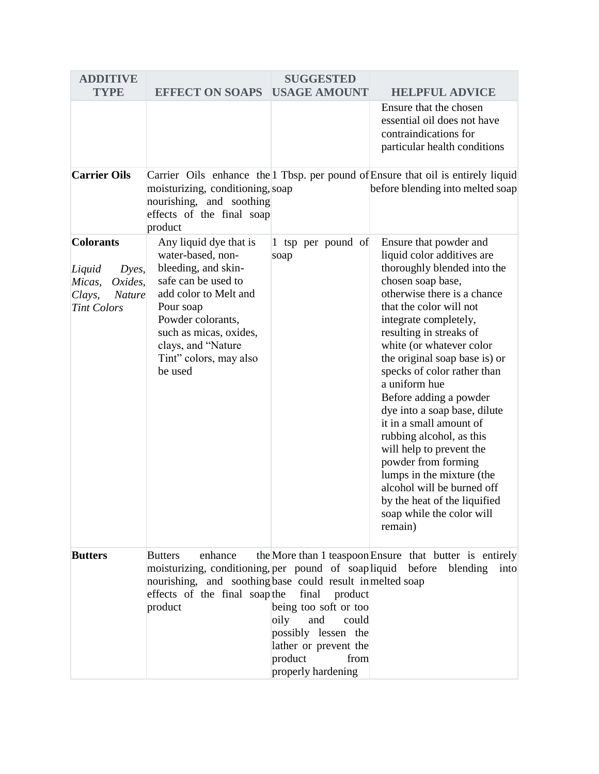| <b>ADDITIVE</b>                                                                                           |                                                                                                                                                                                                                                           | <b>SUGGESTED</b>                                                                                                                                           |                                                                                                                                                                                                                                                                                                                                                                                                                                                                                                                                                                                                                                            |
|-----------------------------------------------------------------------------------------------------------|-------------------------------------------------------------------------------------------------------------------------------------------------------------------------------------------------------------------------------------------|------------------------------------------------------------------------------------------------------------------------------------------------------------|--------------------------------------------------------------------------------------------------------------------------------------------------------------------------------------------------------------------------------------------------------------------------------------------------------------------------------------------------------------------------------------------------------------------------------------------------------------------------------------------------------------------------------------------------------------------------------------------------------------------------------------------|
| <b>TYPE</b>                                                                                               | <b>EFFECT ON SOAPS</b>                                                                                                                                                                                                                    | <b>USAGE AMOUNT</b>                                                                                                                                        | <b>HELPFUL ADVICE</b>                                                                                                                                                                                                                                                                                                                                                                                                                                                                                                                                                                                                                      |
|                                                                                                           |                                                                                                                                                                                                                                           |                                                                                                                                                            | Ensure that the chosen<br>essential oil does not have<br>contraindications for<br>particular health conditions                                                                                                                                                                                                                                                                                                                                                                                                                                                                                                                             |
| <b>Carrier Oils</b>                                                                                       | moisturizing, conditioning, soap<br>nourishing, and soothing<br>effects of the final soap<br>product                                                                                                                                      |                                                                                                                                                            | Carrier Oils enhance the 1 Tbsp. per pound of Ensure that oil is entirely liquid<br>before blending into melted soap                                                                                                                                                                                                                                                                                                                                                                                                                                                                                                                       |
| <b>Colorants</b><br>Liquid<br>Dyes,<br>Oxides,<br>Micas,<br>Clays,<br><b>Nature</b><br><b>Tint Colors</b> | Any liquid dye that is<br>water-based, non-<br>bleeding, and skin-<br>safe can be used to<br>add color to Melt and<br>Pour soap<br>Powder colorants,<br>such as micas, oxides,<br>clays, and "Nature<br>Tint" colors, may also<br>be used | 1 tsp per pound of<br>soap                                                                                                                                 | Ensure that powder and<br>liquid color additives are<br>thoroughly blended into the<br>chosen soap base,<br>otherwise there is a chance<br>that the color will not<br>integrate completely,<br>resulting in streaks of<br>white (or whatever color<br>the original soap base is) or<br>specks of color rather than<br>a uniform hue<br>Before adding a powder<br>dye into a soap base, dilute<br>it in a small amount of<br>rubbing alcohol, as this<br>will help to prevent the<br>powder from forming<br>lumps in the mixture (the<br>alcohol will be burned off<br>by the heat of the liquified<br>soap while the color will<br>remain) |
| <b>Butters</b>                                                                                            | <b>Butters</b><br>enhance<br>moisturizing, conditioning, per pound of soapliquid before<br>nourishing, and soothing base could result in melted soap<br>effects of the final soap the<br>product                                          | final<br>product<br>being too soft or too<br>oily<br>and<br>could<br>possibly lessen the<br>lather or prevent the<br>product<br>from<br>properly hardening | the More than 1 teaspoon Ensure that butter is entirely<br>blending<br>into                                                                                                                                                                                                                                                                                                                                                                                                                                                                                                                                                                |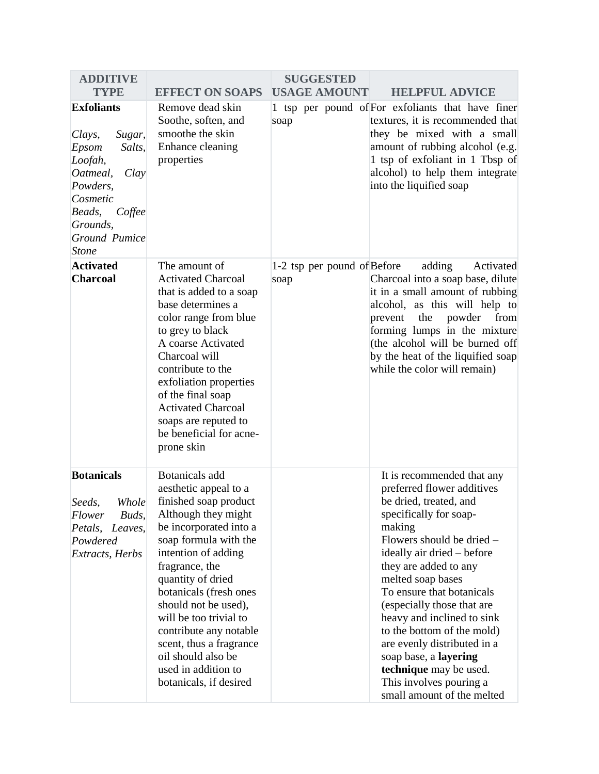| <b>ADDITIVE</b>                                                                                                                                                                  |                                                                                                                                                                                                                                                                                                                                                                                                                         | <b>SUGGESTED</b>                    |                                                                                                                                                                                                                                                                                                                                                                                                                                                                                                   |
|----------------------------------------------------------------------------------------------------------------------------------------------------------------------------------|-------------------------------------------------------------------------------------------------------------------------------------------------------------------------------------------------------------------------------------------------------------------------------------------------------------------------------------------------------------------------------------------------------------------------|-------------------------------------|---------------------------------------------------------------------------------------------------------------------------------------------------------------------------------------------------------------------------------------------------------------------------------------------------------------------------------------------------------------------------------------------------------------------------------------------------------------------------------------------------|
| <b>TYPE</b>                                                                                                                                                                      | <b>EFFECT ON SOAPS</b>                                                                                                                                                                                                                                                                                                                                                                                                  | <b>USAGE AMOUNT</b>                 | <b>HELPFUL ADVICE</b>                                                                                                                                                                                                                                                                                                                                                                                                                                                                             |
| <b>Exfoliants</b><br>Sugar,<br>Clays,<br>Epsom<br>Salts,<br>Loofah,<br>Oatmeal,<br>Clay<br>Powders,<br>Cosmetic<br>Beads,<br>Coffee<br>Grounds,<br>Ground Pumice<br><b>Stone</b> | Remove dead skin<br>Soothe, soften, and<br>smoothe the skin<br>Enhance cleaning<br>properties                                                                                                                                                                                                                                                                                                                           | soap                                | 1 tsp per pound of For exfoliants that have finer<br>textures, it is recommended that<br>they be mixed with a small<br>amount of rubbing alcohol (e.g.<br>1 tsp of exfoliant in 1 Tbsp of<br>alcohol) to help them integrate<br>into the liquified soap                                                                                                                                                                                                                                           |
| <b>Activated</b><br><b>Charcoal</b>                                                                                                                                              | The amount of<br><b>Activated Charcoal</b><br>that is added to a soap<br>base determines a<br>color range from blue<br>to grey to black<br>A coarse Activated<br>Charcoal will<br>contribute to the<br>exfoliation properties<br>of the final soap<br><b>Activated Charcoal</b><br>soaps are reputed to<br>be beneficial for acne-<br>prone skin                                                                        | 1-2 tsp per pound of Before<br>soap | adding<br>Activated<br>Charcoal into a soap base, dilute<br>it in a small amount of rubbing<br>alcohol, as this will help to<br>powder<br>from<br>the<br>prevent<br>forming lumps in the mixture<br>(the alcohol will be burned off<br>by the heat of the liquified soap<br>while the color will remain)                                                                                                                                                                                          |
| <b>Botanicals</b><br>Seeds,<br>Whole<br>Flower<br>Buds,<br>Petals,<br>Leaves,<br>Powdered<br><b>Extracts</b> , Herbs                                                             | <b>Botanicals</b> add<br>aesthetic appeal to a<br>finished soap product<br>Although they might<br>be incorporated into a<br>soap formula with the<br>intention of adding<br>fragrance, the<br>quantity of dried<br>botanicals (fresh ones<br>should not be used),<br>will be too trivial to<br>contribute any notable<br>scent, thus a fragrance<br>oil should also be<br>used in addition to<br>botanicals, if desired |                                     | It is recommended that any<br>preferred flower additives<br>be dried, treated, and<br>specifically for soap-<br>making<br>Flowers should be dried -<br>ideally air dried – before<br>they are added to any<br>melted soap bases<br>To ensure that botanicals<br>(especially those that are<br>heavy and inclined to sink<br>to the bottom of the mold)<br>are evenly distributed in a<br>soap base, a layering<br>technique may be used.<br>This involves pouring a<br>small amount of the melted |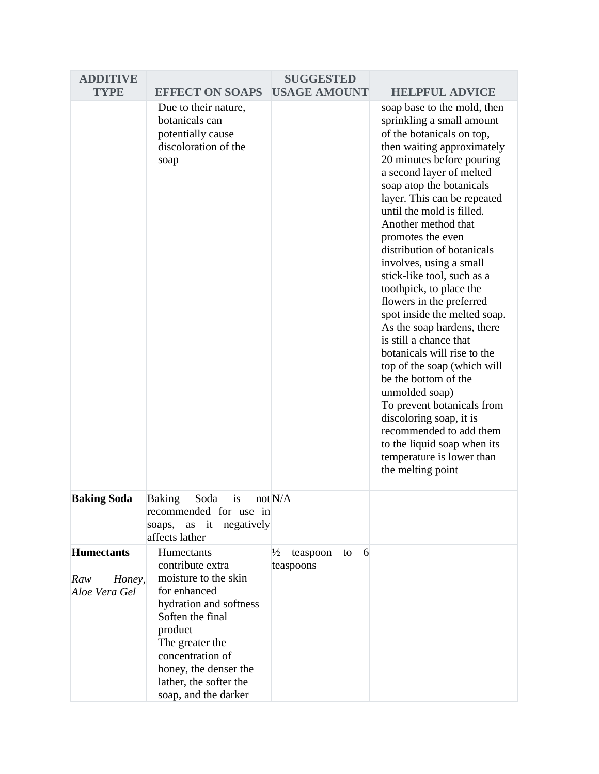| <b>ADDITIVE</b>                                     |                                                                                                                                                                                                                                                   | <b>SUGGESTED</b>                       |         |                                                                                                                                                                                                                                                                                                                                                                                                                                                                                                                                                                                                                                                                                                                                                                                                                                     |
|-----------------------------------------------------|---------------------------------------------------------------------------------------------------------------------------------------------------------------------------------------------------------------------------------------------------|----------------------------------------|---------|-------------------------------------------------------------------------------------------------------------------------------------------------------------------------------------------------------------------------------------------------------------------------------------------------------------------------------------------------------------------------------------------------------------------------------------------------------------------------------------------------------------------------------------------------------------------------------------------------------------------------------------------------------------------------------------------------------------------------------------------------------------------------------------------------------------------------------------|
| <b>TYPE</b>                                         | <b>EFFECT ON SOAPS</b>                                                                                                                                                                                                                            | <b>USAGE AMOUNT</b>                    |         | <b>HELPFUL ADVICE</b>                                                                                                                                                                                                                                                                                                                                                                                                                                                                                                                                                                                                                                                                                                                                                                                                               |
|                                                     | Due to their nature,<br>botanicals can<br>potentially cause<br>discoloration of the<br>soap                                                                                                                                                       |                                        |         | soap base to the mold, then<br>sprinkling a small amount<br>of the botanicals on top,<br>then waiting approximately<br>20 minutes before pouring<br>a second layer of melted<br>soap atop the botanicals<br>layer. This can be repeated<br>until the mold is filled.<br>Another method that<br>promotes the even<br>distribution of botanicals<br>involves, using a small<br>stick-like tool, such as a<br>toothpick, to place the<br>flowers in the preferred<br>spot inside the melted soap.<br>As the soap hardens, there<br>is still a chance that<br>botanicals will rise to the<br>top of the soap (which will<br>be the bottom of the<br>unmolded soap)<br>To prevent botanicals from<br>discoloring soap, it is<br>recommended to add them<br>to the liquid soap when its<br>temperature is lower than<br>the melting point |
| <b>Baking Soda</b>                                  | is<br><b>Baking</b><br>Soda<br>recommended for use in<br>negatively<br>as<br>it<br>soaps,<br>affects lather                                                                                                                                       | not N/A                                |         |                                                                                                                                                                                                                                                                                                                                                                                                                                                                                                                                                                                                                                                                                                                                                                                                                                     |
| <b>Humectants</b><br>Honey,<br>Raw<br>Aloe Vera Gel | Humectants<br>contribute extra<br>moisture to the skin<br>for enhanced<br>hydration and softness<br>Soften the final<br>product<br>The greater the<br>concentration of<br>honey, the denser the<br>lather, the softer the<br>soap, and the darker | $\frac{1}{2}$<br>teaspoon<br>teaspoons | 6<br>to |                                                                                                                                                                                                                                                                                                                                                                                                                                                                                                                                                                                                                                                                                                                                                                                                                                     |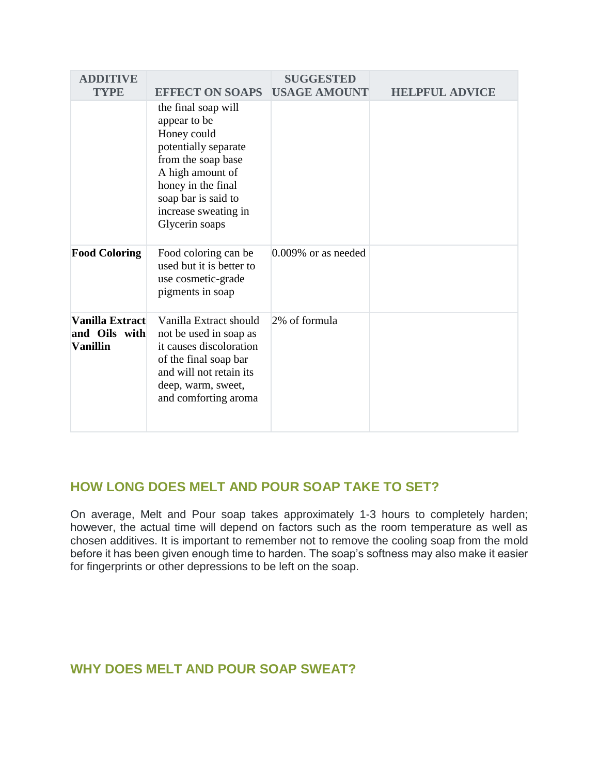| <b>ADDITIVE</b><br><b>TYPE</b>                             | <b>EFFECT ON SOAPS</b>                                                                                                                                                                                      | <b>SUGGESTED</b><br><b>USAGE AMOUNT</b> | <b>HELPFUL ADVICE</b> |
|------------------------------------------------------------|-------------------------------------------------------------------------------------------------------------------------------------------------------------------------------------------------------------|-----------------------------------------|-----------------------|
|                                                            | the final soap will<br>appear to be<br>Honey could<br>potentially separate<br>from the soap base<br>A high amount of<br>honey in the final<br>soap bar is said to<br>increase sweating in<br>Glycerin soaps |                                         |                       |
| <b>Food Coloring</b>                                       | Food coloring can be<br>used but it is better to<br>use cosmetic-grade<br>pigments in soap                                                                                                                  | $0.009\%$ or as needed                  |                       |
| <b>Vanilla Extract</b><br>and Oils with<br><b>Vanillin</b> | Vanilla Extract should<br>not be used in soap as<br>it causes discoloration<br>of the final soap bar<br>and will not retain its<br>deep, warm, sweet,<br>and comforting aroma                               | 2% of formula                           |                       |

# **HOW LONG DOES MELT AND POUR SOAP TAKE TO SET?**

On average, Melt and Pour soap takes approximately 1-3 hours to completely harden; however, the actual time will depend on factors such as the room temperature as well as chosen additives. It is important to remember not to remove the cooling soap from the mold before it has been given enough time to harden. The soap's softness may also make it easier for fingerprints or other depressions to be left on the soap.

# **WHY DOES MELT AND POUR SOAP SWEAT?**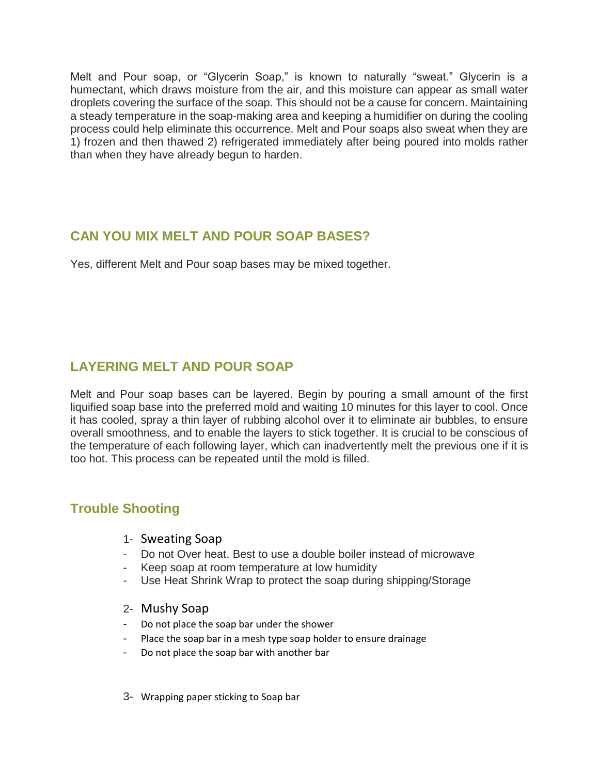Melt and Pour soap, or "Glycerin Soap," is known to naturally "sweat." Glycerin is a humectant, which draws moisture from the air, and this moisture can appear as small water droplets covering the surface of the soap. This should not be a cause for concern. Maintaining a steady temperature in the soap-making area and keeping a humidifier on during the cooling process could help eliminate this occurrence. Melt and Pour soaps also sweat when they are 1) frozen and then thawed 2) refrigerated immediately after being poured into molds rather than when they have already begun to harden.

# **CAN YOU MIX MELT AND POUR SOAP BASES?**

Yes, different Melt and Pour soap bases may be mixed together.

# **LAYERING MELT AND POUR SOAP**

Melt and Pour soap bases can be layered. Begin by pouring a small amount of the first liquified soap base into the preferred mold and waiting 10 minutes for this layer to cool. Once it has cooled, spray a thin layer of rubbing alcohol over it to eliminate air bubbles, to ensure overall smoothness, and to enable the layers to stick together. It is crucial to be conscious of the temperature of each following layer, which can inadvertently melt the previous one if it is too hot. This process can be repeated until the mold is filled.

# **Trouble Shooting**

- 1- Sweating Soap
- Do not Over heat. Best to use a double boiler instead of microwave
- Keep soap at room temperature at low humidity
- Use Heat Shrink Wrap to protect the soap during shipping/Storage
- 2- Mushy Soap
- Do not place the soap bar under the shower
- Place the soap bar in a mesh type soap holder to ensure drainage
- Do not place the soap bar with another bar
- 3- Wrapping paper sticking to Soap bar